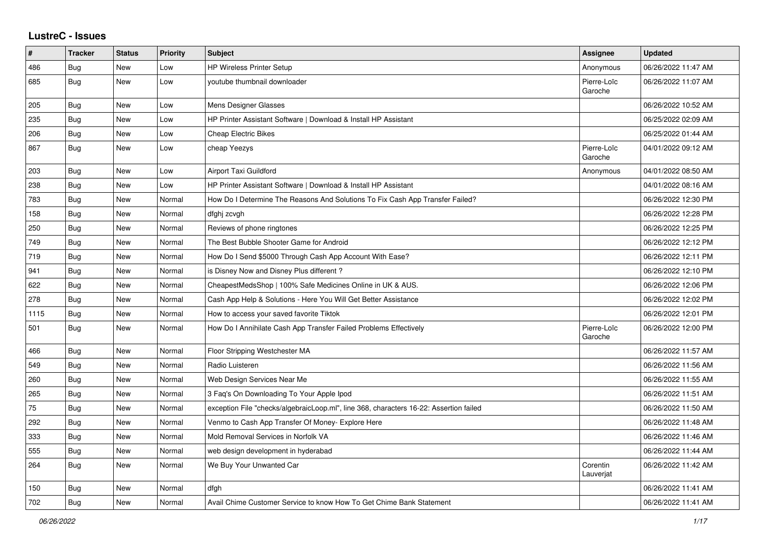## **LustreC - Issues**

| #    | <b>Tracker</b> | <b>Status</b> | <b>Priority</b> | <b>Subject</b>                                                                         | Assignee               | <b>Updated</b>      |
|------|----------------|---------------|-----------------|----------------------------------------------------------------------------------------|------------------------|---------------------|
| 486  | Bug            | New           | Low             | <b>HP Wireless Printer Setup</b>                                                       | Anonymous              | 06/26/2022 11:47 AM |
| 685  | Bug            | <b>New</b>    | Low             | voutube thumbnail downloader                                                           | Pierre-Loïc<br>Garoche | 06/26/2022 11:07 AM |
| 205  | <b>Bug</b>     | <b>New</b>    | Low             | Mens Designer Glasses                                                                  |                        | 06/26/2022 10:52 AM |
| 235  | <b>Bug</b>     | <b>New</b>    | Low             | HP Printer Assistant Software   Download & Install HP Assistant                        |                        | 06/25/2022 02:09 AM |
| 206  | Bug            | New           | Low             | <b>Cheap Electric Bikes</b>                                                            |                        | 06/25/2022 01:44 AM |
| 867  | Bug            | New           | Low             | cheap Yeezys                                                                           | Pierre-Loïc<br>Garoche | 04/01/2022 09:12 AM |
| 203  | <b>Bug</b>     | New           | Low             | Airport Taxi Guildford                                                                 | Anonymous              | 04/01/2022 08:50 AM |
| 238  | Bug            | New           | Low             | HP Printer Assistant Software   Download & Install HP Assistant                        |                        | 04/01/2022 08:16 AM |
| 783  | Bug            | <b>New</b>    | Normal          | How Do I Determine The Reasons And Solutions To Fix Cash App Transfer Failed?          |                        | 06/26/2022 12:30 PM |
| 158  | Bug            | New           | Normal          | dfghj zcvgh                                                                            |                        | 06/26/2022 12:28 PM |
| 250  | <b>Bug</b>     | New           | Normal          | Reviews of phone ringtones                                                             |                        | 06/26/2022 12:25 PM |
| 749  | Bug            | <b>New</b>    | Normal          | The Best Bubble Shooter Game for Android                                               |                        | 06/26/2022 12:12 PM |
| 719  | Bug            | <b>New</b>    | Normal          | How Do I Send \$5000 Through Cash App Account With Ease?                               |                        | 06/26/2022 12:11 PM |
| 941  | Bug            | <b>New</b>    | Normal          | is Disney Now and Disney Plus different?                                               |                        | 06/26/2022 12:10 PM |
| 622  | <b>Bug</b>     | New           | Normal          | CheapestMedsShop   100% Safe Medicines Online in UK & AUS.                             |                        | 06/26/2022 12:06 PM |
| 278  | <b>Bug</b>     | New           | Normal          | Cash App Help & Solutions - Here You Will Get Better Assistance                        |                        | 06/26/2022 12:02 PM |
| 1115 | Bug            | New           | Normal          | How to access your saved favorite Tiktok                                               |                        | 06/26/2022 12:01 PM |
| 501  | Bug            | <b>New</b>    | Normal          | How Do I Annihilate Cash App Transfer Failed Problems Effectively                      | Pierre-Loïc<br>Garoche | 06/26/2022 12:00 PM |
| 466  | Bug            | <b>New</b>    | Normal          | Floor Stripping Westchester MA                                                         |                        | 06/26/2022 11:57 AM |
| 549  | Bug            | New           | Normal          | Radio Luisteren                                                                        |                        | 06/26/2022 11:56 AM |
| 260  | <b>Bug</b>     | New           | Normal          | Web Design Services Near Me                                                            |                        | 06/26/2022 11:55 AM |
| 265  | Bug            | New           | Normal          | 3 Faq's On Downloading To Your Apple Ipod                                              |                        | 06/26/2022 11:51 AM |
| 75   | Bug            | New           | Normal          | exception File "checks/algebraicLoop.ml", line 368, characters 16-22: Assertion failed |                        | 06/26/2022 11:50 AM |
| 292  | Bug            | New           | Normal          | Venmo to Cash App Transfer Of Money- Explore Here                                      |                        | 06/26/2022 11:48 AM |
| 333  | Bug            | New           | Normal          | Mold Removal Services in Norfolk VA                                                    |                        | 06/26/2022 11:46 AM |
| 555  | Bug            | New           | Normal          | web design development in hyderabad                                                    |                        | 06/26/2022 11:44 AM |
| 264  | <b>Bug</b>     | <b>New</b>    | Normal          | We Buy Your Unwanted Car                                                               | Corentin<br>Lauverjat  | 06/26/2022 11:42 AM |
| 150  | <b>Bug</b>     | <b>New</b>    | Normal          | dfgh                                                                                   |                        | 06/26/2022 11:41 AM |
| 702  | <b>Bug</b>     | <b>New</b>    | Normal          | Avail Chime Customer Service to know How To Get Chime Bank Statement                   |                        | 06/26/2022 11:41 AM |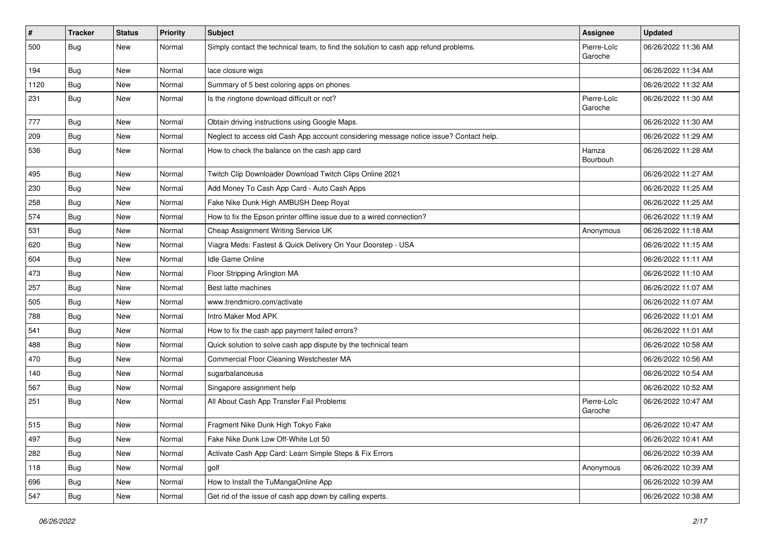| $\vert$ # | <b>Tracker</b> | <b>Status</b> | <b>Priority</b> | <b>Subject</b>                                                                         | Assignee               | <b>Updated</b>      |
|-----------|----------------|---------------|-----------------|----------------------------------------------------------------------------------------|------------------------|---------------------|
| 500       | <b>Bug</b>     | New           | Normal          | Simply contact the technical team, to find the solution to cash app refund problems.   | Pierre-Loïc<br>Garoche | 06/26/2022 11:36 AM |
| 194       | Bug            | New           | Normal          | lace closure wigs                                                                      |                        | 06/26/2022 11:34 AM |
| 1120      | Bug            | New           | Normal          | Summary of 5 best coloring apps on phones                                              |                        | 06/26/2022 11:32 AM |
| 231       | Bug            | New           | Normal          | Is the ringtone download difficult or not?                                             | Pierre-Loïc<br>Garoche | 06/26/2022 11:30 AM |
| 777       | <b>Bug</b>     | New           | Normal          | Obtain driving instructions using Google Maps.                                         |                        | 06/26/2022 11:30 AM |
| 209       | <b>Bug</b>     | New           | Normal          | Neglect to access old Cash App account considering message notice issue? Contact help. |                        | 06/26/2022 11:29 AM |
| 536       | <b>Bug</b>     | New           | Normal          | How to check the balance on the cash app card                                          | Hamza<br>Bourbouh      | 06/26/2022 11:28 AM |
| 495       | Bug            | New           | Normal          | Twitch Clip Downloader Download Twitch Clips Online 2021                               |                        | 06/26/2022 11:27 AM |
| 230       | <b>Bug</b>     | New           | Normal          | Add Money To Cash App Card - Auto Cash Apps                                            |                        | 06/26/2022 11:25 AM |
| 258       | <b>Bug</b>     | New           | Normal          | Fake Nike Dunk High AMBUSH Deep Royal                                                  |                        | 06/26/2022 11:25 AM |
| 574       | <b>Bug</b>     | New           | Normal          | How to fix the Epson printer offline issue due to a wired connection?                  |                        | 06/26/2022 11:19 AM |
| 531       | <b>Bug</b>     | New           | Normal          | Cheap Assignment Writing Service UK                                                    | Anonymous              | 06/26/2022 11:18 AM |
| 620       | Bug            | New           | Normal          | Viagra Meds: Fastest & Quick Delivery On Your Doorstep - USA                           |                        | 06/26/2022 11:15 AM |
| 604       | Bug            | New           | Normal          | Idle Game Online                                                                       |                        | 06/26/2022 11:11 AM |
| 473       | Bug            | <b>New</b>    | Normal          | Floor Stripping Arlington MA                                                           |                        | 06/26/2022 11:10 AM |
| 257       | Bug            | New           | Normal          | Best latte machines                                                                    |                        | 06/26/2022 11:07 AM |
| 505       | <b>Bug</b>     | <b>New</b>    | Normal          | www.trendmicro.com/activate                                                            |                        | 06/26/2022 11:07 AM |
| 788       | Bug            | New           | Normal          | Intro Maker Mod APK                                                                    |                        | 06/26/2022 11:01 AM |
| 541       | Bug            | New           | Normal          | How to fix the cash app payment failed errors?                                         |                        | 06/26/2022 11:01 AM |
| 488       | <b>Bug</b>     | New           | Normal          | Quick solution to solve cash app dispute by the technical team                         |                        | 06/26/2022 10:58 AM |
| 470       | <b>Bug</b>     | New           | Normal          | Commercial Floor Cleaning Westchester MA                                               |                        | 06/26/2022 10:56 AM |
| 140       | Bug            | New           | Normal          | sugarbalanceusa                                                                        |                        | 06/26/2022 10:54 AM |
| 567       | Bug            | New           | Normal          | Singapore assignment help                                                              |                        | 06/26/2022 10:52 AM |
| 251       | <b>Bug</b>     | New           | Normal          | All About Cash App Transfer Fail Problems                                              | Pierre-Loïc<br>Garoche | 06/26/2022 10:47 AM |
| 515       | Bug            | New           | Normal          | Fragment Nike Dunk High Tokyo Fake                                                     |                        | 06/26/2022 10:47 AM |
| 497       | <b>Bug</b>     | New           | Normal          | Fake Nike Dunk Low Off-White Lot 50                                                    |                        | 06/26/2022 10:41 AM |
| 282       | <b>Bug</b>     | New           | Normal          | Activate Cash App Card: Learn Simple Steps & Fix Errors                                |                        | 06/26/2022 10:39 AM |
| 118       | <b>Bug</b>     | New           | Normal          | golf                                                                                   | Anonymous              | 06/26/2022 10:39 AM |
| 696       | <b>Bug</b>     | New           | Normal          | How to Install the TuMangaOnline App                                                   |                        | 06/26/2022 10:39 AM |
| 547       | <b>Bug</b>     | New           | Normal          | Get rid of the issue of cash app down by calling experts.                              |                        | 06/26/2022 10:38 AM |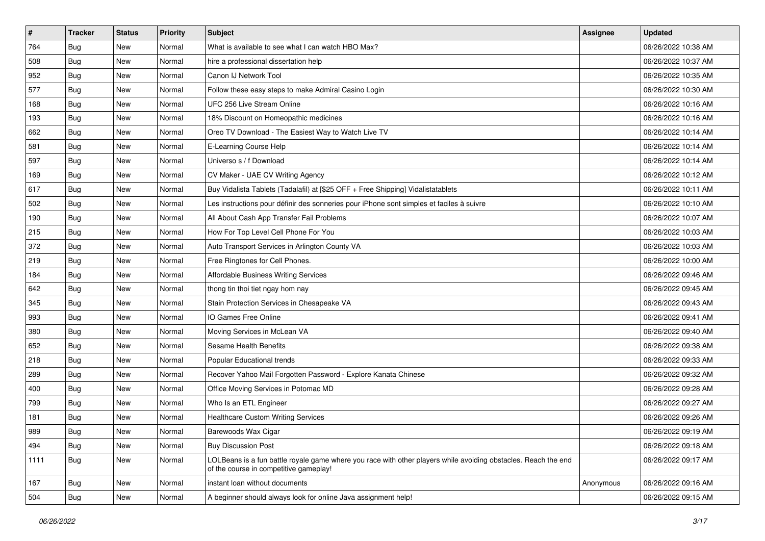| $\sharp$ | <b>Tracker</b> | <b>Status</b> | <b>Priority</b> | <b>Subject</b>                                                                                                                                           | <b>Assignee</b> | <b>Updated</b>      |
|----------|----------------|---------------|-----------------|----------------------------------------------------------------------------------------------------------------------------------------------------------|-----------------|---------------------|
| 764      | Bug            | New           | Normal          | What is available to see what I can watch HBO Max?                                                                                                       |                 | 06/26/2022 10:38 AM |
| 508      | Bug            | <b>New</b>    | Normal          | hire a professional dissertation help                                                                                                                    |                 | 06/26/2022 10:37 AM |
| 952      | Bug            | New           | Normal          | Canon IJ Network Tool                                                                                                                                    |                 | 06/26/2022 10:35 AM |
| 577      | Bug            | New           | Normal          | Follow these easy steps to make Admiral Casino Login                                                                                                     |                 | 06/26/2022 10:30 AM |
| 168      | <b>Bug</b>     | <b>New</b>    | Normal          | UFC 256 Live Stream Online                                                                                                                               |                 | 06/26/2022 10:16 AM |
| 193      | Bug            | New           | Normal          | 18% Discount on Homeopathic medicines                                                                                                                    |                 | 06/26/2022 10:16 AM |
| 662      | Bug            | New           | Normal          | Oreo TV Download - The Easiest Way to Watch Live TV                                                                                                      |                 | 06/26/2022 10:14 AM |
| 581      | <b>Bug</b>     | New           | Normal          | E-Learning Course Help                                                                                                                                   |                 | 06/26/2022 10:14 AM |
| 597      | Bug            | New           | Normal          | Universo s / f Download                                                                                                                                  |                 | 06/26/2022 10:14 AM |
| 169      | Bug            | <b>New</b>    | Normal          | CV Maker - UAE CV Writing Agency                                                                                                                         |                 | 06/26/2022 10:12 AM |
| 617      | <b>Bug</b>     | New           | Normal          | Buy Vidalista Tablets (Tadalafil) at [\$25 OFF + Free Shipping] Vidalistatablets                                                                         |                 | 06/26/2022 10:11 AM |
| 502      | Bug            | New           | Normal          | Les instructions pour définir des sonneries pour iPhone sont simples et faciles à suivre                                                                 |                 | 06/26/2022 10:10 AM |
| 190      | Bug            | New           | Normal          | All About Cash App Transfer Fail Problems                                                                                                                |                 | 06/26/2022 10:07 AM |
| 215      | <b>Bug</b>     | New           | Normal          | How For Top Level Cell Phone For You                                                                                                                     |                 | 06/26/2022 10:03 AM |
| 372      | Bug            | <b>New</b>    | Normal          | Auto Transport Services in Arlington County VA                                                                                                           |                 | 06/26/2022 10:03 AM |
| 219      | Bug            | New           | Normal          | Free Ringtones for Cell Phones.                                                                                                                          |                 | 06/26/2022 10:00 AM |
| 184      | Bug            | New           | Normal          | <b>Affordable Business Writing Services</b>                                                                                                              |                 | 06/26/2022 09:46 AM |
| 642      | <b>Bug</b>     | New           | Normal          | thong tin thoi tiet ngay hom nay                                                                                                                         |                 | 06/26/2022 09:45 AM |
| 345      | Bug            | New           | Normal          | Stain Protection Services in Chesapeake VA                                                                                                               |                 | 06/26/2022 09:43 AM |
| 993      | Bug            | <b>New</b>    | Normal          | IO Games Free Online                                                                                                                                     |                 | 06/26/2022 09:41 AM |
| 380      | <b>Bug</b>     | New           | Normal          | Moving Services in McLean VA                                                                                                                             |                 | 06/26/2022 09:40 AM |
| 652      | Bug            | New           | Normal          | Sesame Health Benefits                                                                                                                                   |                 | 06/26/2022 09:38 AM |
| 218      | Bug            | New           | Normal          | Popular Educational trends                                                                                                                               |                 | 06/26/2022 09:33 AM |
| 289      | <b>Bug</b>     | New           | Normal          | Recover Yahoo Mail Forgotten Password - Explore Kanata Chinese                                                                                           |                 | 06/26/2022 09:32 AM |
| 400      | Bug            | New           | Normal          | Office Moving Services in Potomac MD                                                                                                                     |                 | 06/26/2022 09:28 AM |
| 799      | Bug            | New           | Normal          | Who Is an ETL Engineer                                                                                                                                   |                 | 06/26/2022 09:27 AM |
| 181      | <b>Bug</b>     | New           | Normal          | <b>Healthcare Custom Writing Services</b>                                                                                                                |                 | 06/26/2022 09:26 AM |
| 989      | Bug            | New           | Normal          | Barewoods Wax Cigar                                                                                                                                      |                 | 06/26/2022 09:19 AM |
| 494      | <b>Bug</b>     | New           | Normal          | <b>Buy Discussion Post</b>                                                                                                                               |                 | 06/26/2022 09:18 AM |
| 1111     | <b>Bug</b>     | New           | Normal          | LOLBeans is a fun battle royale game where you race with other players while avoiding obstacles. Reach the end<br>of the course in competitive gameplay! |                 | 06/26/2022 09:17 AM |
| 167      | <b>Bug</b>     | New           | Normal          | instant loan without documents                                                                                                                           | Anonymous       | 06/26/2022 09:16 AM |
| 504      | <b>Bug</b>     | New           | Normal          | A beginner should always look for online Java assignment help!                                                                                           |                 | 06/26/2022 09:15 AM |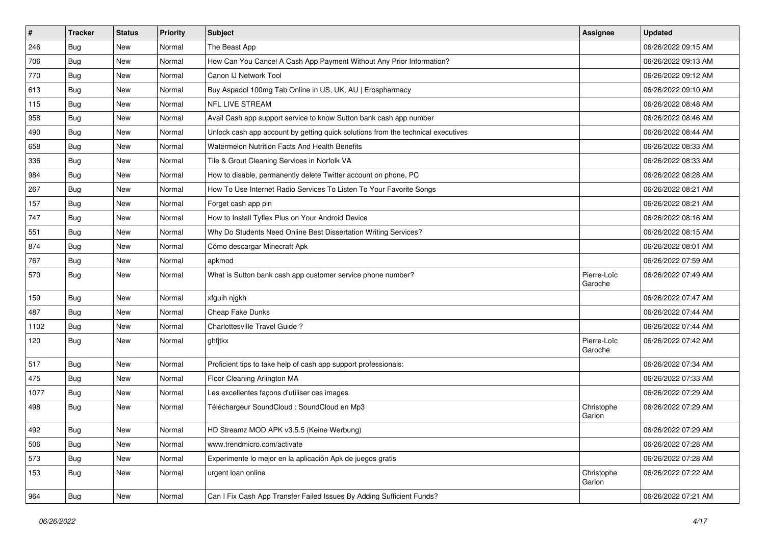| $\vert$ # | <b>Tracker</b> | <b>Status</b> | <b>Priority</b> | <b>Subject</b>                                                                   | <b>Assignee</b>        | <b>Updated</b>      |
|-----------|----------------|---------------|-----------------|----------------------------------------------------------------------------------|------------------------|---------------------|
| 246       | Bug            | New           | Normal          | The Beast App                                                                    |                        | 06/26/2022 09:15 AM |
| 706       | Bug            | New           | Normal          | How Can You Cancel A Cash App Payment Without Any Prior Information?             |                        | 06/26/2022 09:13 AM |
| 770       | Bug            | New           | Normal          | Canon IJ Network Tool                                                            |                        | 06/26/2022 09:12 AM |
| 613       | <b>Bug</b>     | New           | Normal          | Buy Aspadol 100mg Tab Online in US, UK, AU   Erospharmacy                        |                        | 06/26/2022 09:10 AM |
| 115       | Bug            | New           | Normal          | NFL LIVE STREAM                                                                  |                        | 06/26/2022 08:48 AM |
| 958       | Bug            | New           | Normal          | Avail Cash app support service to know Sutton bank cash app number               |                        | 06/26/2022 08:46 AM |
| 490       | <b>Bug</b>     | New           | Normal          | Unlock cash app account by getting quick solutions from the technical executives |                        | 06/26/2022 08:44 AM |
| 658       | <b>Bug</b>     | New           | Normal          | Watermelon Nutrition Facts And Health Benefits                                   |                        | 06/26/2022 08:33 AM |
| 336       | Bug            | New           | Normal          | Tile & Grout Cleaning Services in Norfolk VA                                     |                        | 06/26/2022 08:33 AM |
| 984       | <b>Bug</b>     | New           | Normal          | How to disable, permanently delete Twitter account on phone, PC                  |                        | 06/26/2022 08:28 AM |
| 267       | <b>Bug</b>     | New           | Normal          | How To Use Internet Radio Services To Listen To Your Favorite Songs              |                        | 06/26/2022 08:21 AM |
| 157       | Bug            | New           | Normal          | Forget cash app pin                                                              |                        | 06/26/2022 08:21 AM |
| 747       | Bug            | New           | Normal          | How to Install Tyflex Plus on Your Android Device                                |                        | 06/26/2022 08:16 AM |
| 551       | <b>Bug</b>     | New           | Normal          | Why Do Students Need Online Best Dissertation Writing Services?                  |                        | 06/26/2022 08:15 AM |
| 874       | <b>Bug</b>     | New           | Normal          | Cómo descargar Minecraft Apk                                                     |                        | 06/26/2022 08:01 AM |
| 767       | <b>Bug</b>     | New           | Normal          | apkmod                                                                           |                        | 06/26/2022 07:59 AM |
| 570       | <b>Bug</b>     | New           | Normal          | What is Sutton bank cash app customer service phone number?                      | Pierre-Loïc<br>Garoche | 06/26/2022 07:49 AM |
| 159       | Bug            | New           | Normal          | xfguih njgkh                                                                     |                        | 06/26/2022 07:47 AM |
| 487       | Bug            | New           | Normal          | Cheap Fake Dunks                                                                 |                        | 06/26/2022 07:44 AM |
| 1102      | Bug            | <b>New</b>    | Normal          | Charlottesville Travel Guide ?                                                   |                        | 06/26/2022 07:44 AM |
| 120       | Bug            | New           | Normal          | ghfitkx                                                                          | Pierre-Loïc<br>Garoche | 06/26/2022 07:42 AM |
| 517       | Bug            | New           | Normal          | Proficient tips to take help of cash app support professionals:                  |                        | 06/26/2022 07:34 AM |
| 475       | <b>Bug</b>     | New           | Normal          | Floor Cleaning Arlington MA                                                      |                        | 06/26/2022 07:33 AM |
| 1077      | Bug            | New           | Normal          | Les excellentes façons d'utiliser ces images                                     |                        | 06/26/2022 07:29 AM |
| 498       | <b>Bug</b>     | New           | Normal          | Téléchargeur SoundCloud : SoundCloud en Mp3                                      | Christophe<br>Garion   | 06/26/2022 07:29 AM |
| 492       | <b>Bug</b>     | New           | Normal          | HD Streamz MOD APK v3.5.5 (Keine Werbung)                                        |                        | 06/26/2022 07:29 AM |
| 506       | <b>Bug</b>     | New           | Normal          | www.trendmicro.com/activate                                                      |                        | 06/26/2022 07:28 AM |
| 573       | <b>Bug</b>     | New           | Normal          | Experimente lo mejor en la aplicación Apk de juegos gratis                       |                        | 06/26/2022 07:28 AM |
| 153       | <b>Bug</b>     | New           | Normal          | urgent loan online                                                               | Christophe<br>Garion   | 06/26/2022 07:22 AM |
| 964       | <b>Bug</b>     | New           | Normal          | Can I Fix Cash App Transfer Failed Issues By Adding Sufficient Funds?            |                        | 06/26/2022 07:21 AM |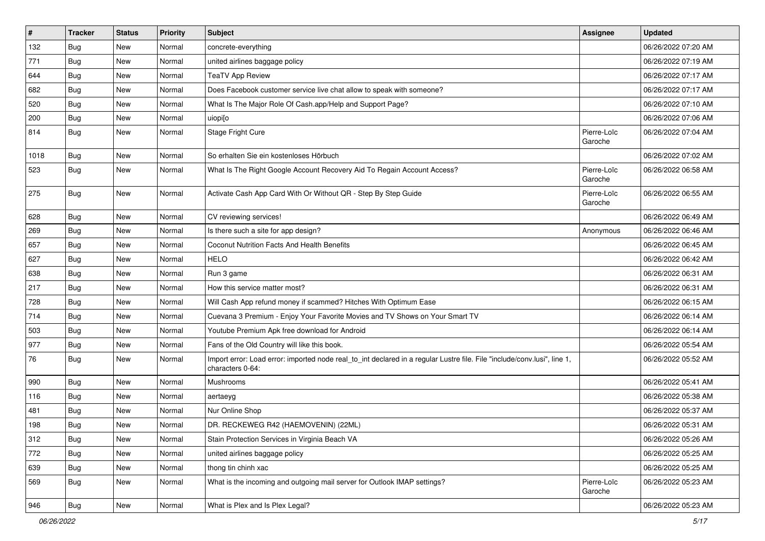| $\pmb{\#}$ | <b>Tracker</b> | <b>Status</b> | <b>Priority</b> | <b>Subject</b>                                                                                                                               | Assignee               | <b>Updated</b>      |
|------------|----------------|---------------|-----------------|----------------------------------------------------------------------------------------------------------------------------------------------|------------------------|---------------------|
| 132        | <b>Bug</b>     | New           | Normal          | concrete-everything                                                                                                                          |                        | 06/26/2022 07:20 AM |
| 771        | <b>Bug</b>     | New           | Normal          | united airlines baggage policy                                                                                                               |                        | 06/26/2022 07:19 AM |
| 644        | <b>Bug</b>     | New           | Normal          | <b>TeaTV App Review</b>                                                                                                                      |                        | 06/26/2022 07:17 AM |
| 682        | <b>Bug</b>     | <b>New</b>    | Normal          | Does Facebook customer service live chat allow to speak with someone?                                                                        |                        | 06/26/2022 07:17 AM |
| 520        | Bug            | <b>New</b>    | Normal          | What Is The Major Role Of Cash.app/Help and Support Page?                                                                                    |                        | 06/26/2022 07:10 AM |
| 200        | Bug            | New           | Normal          | uiopilo                                                                                                                                      |                        | 06/26/2022 07:06 AM |
| 814        | Bug            | New           | Normal          | Stage Fright Cure                                                                                                                            | Pierre-Loïc<br>Garoche | 06/26/2022 07:04 AM |
| 1018       | Bug            | <b>New</b>    | Normal          | So erhalten Sie ein kostenloses Hörbuch                                                                                                      |                        | 06/26/2022 07:02 AM |
| 523        | <b>Bug</b>     | New           | Normal          | What Is The Right Google Account Recovery Aid To Regain Account Access?                                                                      | Pierre-Loïc<br>Garoche | 06/26/2022 06:58 AM |
| 275        | Bug            | <b>New</b>    | Normal          | Activate Cash App Card With Or Without QR - Step By Step Guide                                                                               | Pierre-Loïc<br>Garoche | 06/26/2022 06:55 AM |
| 628        | <b>Bug</b>     | <b>New</b>    | Normal          | CV reviewing services!                                                                                                                       |                        | 06/26/2022 06:49 AM |
| 269        | Bug            | New           | Normal          | Is there such a site for app design?                                                                                                         | Anonymous              | 06/26/2022 06:46 AM |
| 657        | Bug            | <b>New</b>    | Normal          | Coconut Nutrition Facts And Health Benefits                                                                                                  |                        | 06/26/2022 06:45 AM |
| 627        | <b>Bug</b>     | <b>New</b>    | Normal          | <b>HELO</b>                                                                                                                                  |                        | 06/26/2022 06:42 AM |
| 638        | Bug            | <b>New</b>    | Normal          | Run 3 game                                                                                                                                   |                        | 06/26/2022 06:31 AM |
| 217        | <b>Bug</b>     | New           | Normal          | How this service matter most?                                                                                                                |                        | 06/26/2022 06:31 AM |
| 728        | <b>Bug</b>     | <b>New</b>    | Normal          | Will Cash App refund money if scammed? Hitches With Optimum Ease                                                                             |                        | 06/26/2022 06:15 AM |
| 714        | Bug            | <b>New</b>    | Normal          | Cuevana 3 Premium - Enjoy Your Favorite Movies and TV Shows on Your Smart TV                                                                 |                        | 06/26/2022 06:14 AM |
| 503        | <b>Bug</b>     | New           | Normal          | Youtube Premium Apk free download for Android                                                                                                |                        | 06/26/2022 06:14 AM |
| 977        | <b>Bug</b>     | New           | Normal          | Fans of the Old Country will like this book.                                                                                                 |                        | 06/26/2022 05:54 AM |
| 76         | <b>Bug</b>     | New           | Normal          | Import error: Load error: imported node real_to_int declared in a regular Lustre file. File "include/conv.lusi", line 1,<br>characters 0-64: |                        | 06/26/2022 05:52 AM |
| 990        | Bug            | <b>New</b>    | Normal          | Mushrooms                                                                                                                                    |                        | 06/26/2022 05:41 AM |
| 116        | <b>Bug</b>     | New           | Normal          | aertaeyg                                                                                                                                     |                        | 06/26/2022 05:38 AM |
| 481        | Bug            | New           | Normal          | Nur Online Shop                                                                                                                              |                        | 06/26/2022 05:37 AM |
| 198        | <b>Bug</b>     | <b>New</b>    | Normal          | DR. RECKEWEG R42 (HAEMOVENIN) (22ML)                                                                                                         |                        | 06/26/2022 05:31 AM |
| 312        | Bug            | New           | Normal          | Stain Protection Services in Virginia Beach VA                                                                                               |                        | 06/26/2022 05:26 AM |
| 772        | <b>Bug</b>     | New           | Normal          | united airlines baggage policy                                                                                                               |                        | 06/26/2022 05:25 AM |
| 639        | <b>Bug</b>     | New           | Normal          | thong tin chinh xac                                                                                                                          |                        | 06/26/2022 05:25 AM |
| 569        | Bug            | New           | Normal          | What is the incoming and outgoing mail server for Outlook IMAP settings?                                                                     | Pierre-Loïc<br>Garoche | 06/26/2022 05:23 AM |
| 946        | <b>Bug</b>     | New           | Normal          | What is Plex and Is Plex Legal?                                                                                                              |                        | 06/26/2022 05:23 AM |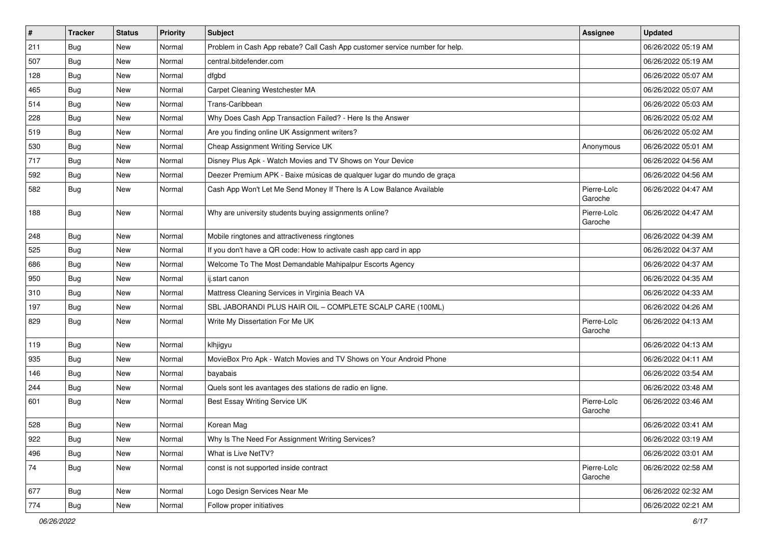| $\vert$ # | <b>Tracker</b> | <b>Status</b> | <b>Priority</b> | <b>Subject</b>                                                              | <b>Assignee</b>        | <b>Updated</b>      |
|-----------|----------------|---------------|-----------------|-----------------------------------------------------------------------------|------------------------|---------------------|
| 211       | <b>Bug</b>     | New           | Normal          | Problem in Cash App rebate? Call Cash App customer service number for help. |                        | 06/26/2022 05:19 AM |
| 507       | Bug            | New           | Normal          | central.bitdefender.com                                                     |                        | 06/26/2022 05:19 AM |
| 128       | Bug            | New           | Normal          | dfgbd                                                                       |                        | 06/26/2022 05:07 AM |
| 465       | <b>Bug</b>     | New           | Normal          | Carpet Cleaning Westchester MA                                              |                        | 06/26/2022 05:07 AM |
| 514       | <b>Bug</b>     | New           | Normal          | Trans-Caribbean                                                             |                        | 06/26/2022 05:03 AM |
| 228       | <b>Bug</b>     | New           | Normal          | Why Does Cash App Transaction Failed? - Here Is the Answer                  |                        | 06/26/2022 05:02 AM |
| 519       | <b>Bug</b>     | New           | Normal          | Are you finding online UK Assignment writers?                               |                        | 06/26/2022 05:02 AM |
| 530       | Bug            | New           | Normal          | Cheap Assignment Writing Service UK                                         | Anonymous              | 06/26/2022 05:01 AM |
| 717       | Bug            | New           | Normal          | Disney Plus Apk - Watch Movies and TV Shows on Your Device                  |                        | 06/26/2022 04:56 AM |
| 592       | Bug            | <b>New</b>    | Normal          | Deezer Premium APK - Baixe músicas de qualquer lugar do mundo de graça      |                        | 06/26/2022 04:56 AM |
| 582       | <b>Bug</b>     | New           | Normal          | Cash App Won't Let Me Send Money If There Is A Low Balance Available        | Pierre-Loïc<br>Garoche | 06/26/2022 04:47 AM |
| 188       | <b>Bug</b>     | New           | Normal          | Why are university students buying assignments online?                      | Pierre-Loïc<br>Garoche | 06/26/2022 04:47 AM |
| 248       | <b>Bug</b>     | New           | Normal          | Mobile ringtones and attractiveness ringtones                               |                        | 06/26/2022 04:39 AM |
| 525       | Bug            | New           | Normal          | If you don't have a QR code: How to activate cash app card in app           |                        | 06/26/2022 04:37 AM |
| 686       | <b>Bug</b>     | New           | Normal          | Welcome To The Most Demandable Mahipalpur Escorts Agency                    |                        | 06/26/2022 04:37 AM |
| 950       | Bug            | New           | Normal          | ij.start canon                                                              |                        | 06/26/2022 04:35 AM |
| 310       | Bug            | New           | Normal          | Mattress Cleaning Services in Virginia Beach VA                             |                        | 06/26/2022 04:33 AM |
| 197       | <b>Bug</b>     | New           | Normal          | SBL JABORANDI PLUS HAIR OIL - COMPLETE SCALP CARE (100ML)                   |                        | 06/26/2022 04:26 AM |
| 829       | Bug            | New           | Normal          | Write My Dissertation For Me UK                                             | Pierre-Loïc<br>Garoche | 06/26/2022 04:13 AM |
| 119       | Bug            | New           | Normal          | klhjigyu                                                                    |                        | 06/26/2022 04:13 AM |
| 935       | Bug            | <b>New</b>    | Normal          | MovieBox Pro Apk - Watch Movies and TV Shows on Your Android Phone          |                        | 06/26/2022 04:11 AM |
| 146       | Bug            | New           | Normal          | bayabais                                                                    |                        | 06/26/2022 03:54 AM |
| 244       | <b>Bug</b>     | New           | Normal          | Quels sont les avantages des stations de radio en ligne.                    |                        | 06/26/2022 03:48 AM |
| 601       | <b>Bug</b>     | New           | Normal          | Best Essay Writing Service UK                                               | Pierre-Loïc<br>Garoche | 06/26/2022 03:46 AM |
| 528       | Bug            | New           | Normal          | Korean Mag                                                                  |                        | 06/26/2022 03:41 AM |
| 922       | <b>Bug</b>     | New           | Normal          | Why Is The Need For Assignment Writing Services?                            |                        | 06/26/2022 03:19 AM |
| 496       | <b>Bug</b>     | New           | Normal          | What is Live NetTV?                                                         |                        | 06/26/2022 03:01 AM |
| 74        | <b>Bug</b>     | New           | Normal          | const is not supported inside contract                                      | Pierre-Loïc<br>Garoche | 06/26/2022 02:58 AM |
| 677       | <b>Bug</b>     | New           | Normal          | Logo Design Services Near Me                                                |                        | 06/26/2022 02:32 AM |
| 774       | <b>Bug</b>     | New           | Normal          | Follow proper initiatives                                                   |                        | 06/26/2022 02:21 AM |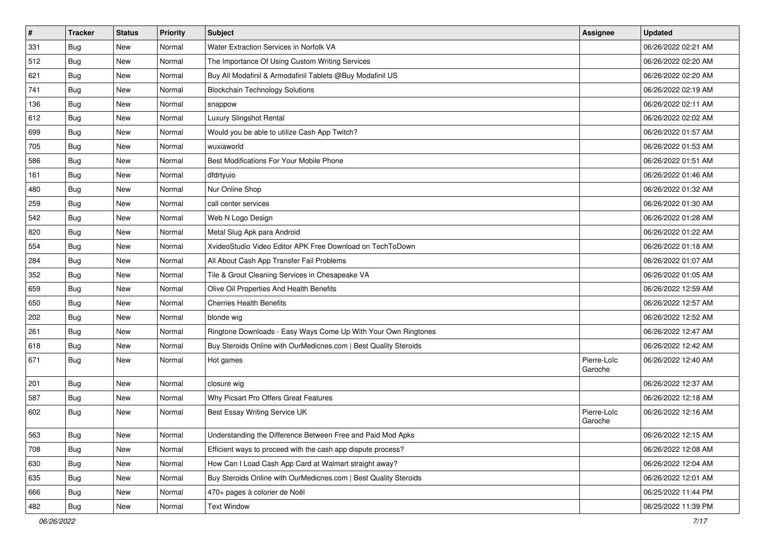| $\vert$ # | <b>Tracker</b> | <b>Status</b> | <b>Priority</b> | <b>Subject</b>                                                   | <b>Assignee</b>        | <b>Updated</b>      |
|-----------|----------------|---------------|-----------------|------------------------------------------------------------------|------------------------|---------------------|
| 331       | <b>Bug</b>     | New           | Normal          | Water Extraction Services in Norfolk VA                          |                        | 06/26/2022 02:21 AM |
| 512       | <b>Bug</b>     | <b>New</b>    | Normal          | The Importance Of Using Custom Writing Services                  |                        | 06/26/2022 02:20 AM |
| 621       | Bug            | New           | Normal          | Buy All Modafinil & Armodafinil Tablets @Buy Modafinil US        |                        | 06/26/2022 02:20 AM |
| 741       | Bug            | <b>New</b>    | Normal          | <b>Blockchain Technology Solutions</b>                           |                        | 06/26/2022 02:19 AM |
| 136       | Bug            | New           | Normal          | snappow                                                          |                        | 06/26/2022 02:11 AM |
| 612       | Bug            | <b>New</b>    | Normal          | <b>Luxury Slingshot Rental</b>                                   |                        | 06/26/2022 02:02 AM |
| 699       | Bug            | <b>New</b>    | Normal          | Would you be able to utilize Cash App Twitch?                    |                        | 06/26/2022 01:57 AM |
| 705       | <b>Bug</b>     | New           | Normal          | wuxiaworld                                                       |                        | 06/26/2022 01:53 AM |
| 586       | <b>Bug</b>     | New           | Normal          | Best Modifications For Your Mobile Phone                         |                        | 06/26/2022 01:51 AM |
| 161       | <b>Bug</b>     | New           | Normal          | dfdrtyuio                                                        |                        | 06/26/2022 01:46 AM |
| 480       | <b>Bug</b>     | New           | Normal          | Nur Online Shop                                                  |                        | 06/26/2022 01:32 AM |
| 259       | Bug            | New           | Normal          | call center services                                             |                        | 06/26/2022 01:30 AM |
| 542       | Bug            | <b>New</b>    | Normal          | Web N Logo Design                                                |                        | 06/26/2022 01:28 AM |
| 820       | Bug            | New           | Normal          | Metal Slug Apk para Android                                      |                        | 06/26/2022 01:22 AM |
| 554       | Bug            | <b>New</b>    | Normal          | XvideoStudio Video Editor APK Free Download on TechToDown        |                        | 06/26/2022 01:18 AM |
| 284       | Bug            | New           | Normal          | All About Cash App Transfer Fail Problems                        |                        | 06/26/2022 01:07 AM |
| 352       | <b>Bug</b>     | New           | Normal          | Tile & Grout Cleaning Services in Chesapeake VA                  |                        | 06/26/2022 01:05 AM |
| 659       | Bug            | New           | Normal          | Olive Oil Properties And Health Benefits                         |                        | 06/26/2022 12:59 AM |
| 650       | Bug            | New           | Normal          | <b>Cherries Health Benefits</b>                                  |                        | 06/26/2022 12:57 AM |
| 202       | Bug            | <b>New</b>    | Normal          | blonde wig                                                       |                        | 06/26/2022 12:52 AM |
| 261       | <b>Bug</b>     | New           | Normal          | Ringtone Downloads - Easy Ways Come Up With Your Own Ringtones   |                        | 06/26/2022 12:47 AM |
| 618       | Bug            | New           | Normal          | Buy Steroids Online with OurMedicnes.com   Best Quality Steroids |                        | 06/26/2022 12:42 AM |
| 671       | <b>Bug</b>     | New           | Normal          | Hot games                                                        | Pierre-Loïc<br>Garoche | 06/26/2022 12:40 AM |
| 201       | <b>Bug</b>     | New           | Normal          | closure wig                                                      |                        | 06/26/2022 12:37 AM |
| 587       | <b>Bug</b>     | New           | Normal          | Why Picsart Pro Offers Great Features                            |                        | 06/26/2022 12:18 AM |
| 602       | <b>Bug</b>     | New           | Normal          | Best Essay Writing Service UK                                    | Pierre-Loïc<br>Garoche | 06/26/2022 12:16 AM |
| 563       | Bug            | New           | Normal          | Understanding the Difference Between Free and Paid Mod Apks      |                        | 06/26/2022 12:15 AM |
| 708       | <b>Bug</b>     | New           | Normal          | Efficient ways to proceed with the cash app dispute process?     |                        | 06/26/2022 12:08 AM |
| 630       | Bug            | <b>New</b>    | Normal          | How Can I Load Cash App Card at Walmart straight away?           |                        | 06/26/2022 12:04 AM |
| 635       | <b>Bug</b>     | New           | Normal          | Buy Steroids Online with OurMedicnes.com   Best Quality Steroids |                        | 06/26/2022 12:01 AM |
| 666       | Bug            | New           | Normal          | 470+ pages à colorier de Noël                                    |                        | 06/25/2022 11:44 PM |
| 482       | Bug            | New           | Normal          | <b>Text Window</b>                                               |                        | 06/25/2022 11:39 PM |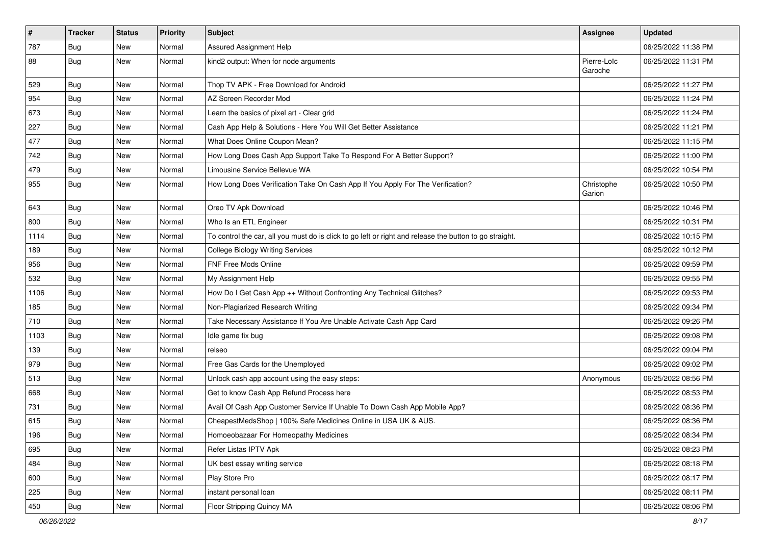| $\vert$ # | <b>Tracker</b> | <b>Status</b> | Priority | <b>Subject</b>                                                                                          | <b>Assignee</b>        | <b>Updated</b>      |
|-----------|----------------|---------------|----------|---------------------------------------------------------------------------------------------------------|------------------------|---------------------|
| 787       | <b>Bug</b>     | New           | Normal   | Assured Assignment Help                                                                                 |                        | 06/25/2022 11:38 PM |
| 88        | <b>Bug</b>     | New           | Normal   | kind2 output: When for node arguments                                                                   | Pierre-Loïc<br>Garoche | 06/25/2022 11:31 PM |
| 529       | Bug            | New           | Normal   | Thop TV APK - Free Download for Android                                                                 |                        | 06/25/2022 11:27 PM |
| 954       | Bug            | <b>New</b>    | Normal   | AZ Screen Recorder Mod                                                                                  |                        | 06/25/2022 11:24 PM |
| 673       | <b>Bug</b>     | New           | Normal   | Learn the basics of pixel art - Clear grid                                                              |                        | 06/25/2022 11:24 PM |
| 227       | Bug            | New           | Normal   | Cash App Help & Solutions - Here You Will Get Better Assistance                                         |                        | 06/25/2022 11:21 PM |
| 477       | Bug            | <b>New</b>    | Normal   | What Does Online Coupon Mean?                                                                           |                        | 06/25/2022 11:15 PM |
| 742       | Bug            | New           | Normal   | How Long Does Cash App Support Take To Respond For A Better Support?                                    |                        | 06/25/2022 11:00 PM |
| 479       | Bug            | <b>New</b>    | Normal   | Limousine Service Bellevue WA                                                                           |                        | 06/25/2022 10:54 PM |
| 955       | Bug            | <b>New</b>    | Normal   | How Long Does Verification Take On Cash App If You Apply For The Verification?                          | Christophe<br>Garion   | 06/25/2022 10:50 PM |
| 643       | Bug            | <b>New</b>    | Normal   | Oreo TV Apk Download                                                                                    |                        | 06/25/2022 10:46 PM |
| 800       | <b>Bug</b>     | New           | Normal   | Who Is an ETL Engineer                                                                                  |                        | 06/25/2022 10:31 PM |
| 1114      | Bug            | New           | Normal   | To control the car, all you must do is click to go left or right and release the button to go straight. |                        | 06/25/2022 10:15 PM |
| 189       | Bug            | New           | Normal   | <b>College Biology Writing Services</b>                                                                 |                        | 06/25/2022 10:12 PM |
| 956       | <b>Bug</b>     | New           | Normal   | FNF Free Mods Online                                                                                    |                        | 06/25/2022 09:59 PM |
| 532       | Bug            | <b>New</b>    | Normal   | My Assignment Help                                                                                      |                        | 06/25/2022 09:55 PM |
| 1106      | <b>Bug</b>     | New           | Normal   | How Do I Get Cash App ++ Without Confronting Any Technical Glitches?                                    |                        | 06/25/2022 09:53 PM |
| 185       | <b>Bug</b>     | New           | Normal   | Non-Plagiarized Research Writing                                                                        |                        | 06/25/2022 09:34 PM |
| 710       | Bug            | <b>New</b>    | Normal   | Take Necessary Assistance If You Are Unable Activate Cash App Card                                      |                        | 06/25/2022 09:26 PM |
| 1103      | Bug            | <b>New</b>    | Normal   | Idle game fix bug                                                                                       |                        | 06/25/2022 09:08 PM |
| 139       | Bug            | New           | Normal   | relseo                                                                                                  |                        | 06/25/2022 09:04 PM |
| 979       | <b>Bug</b>     | New           | Normal   | Free Gas Cards for the Unemployed                                                                       |                        | 06/25/2022 09:02 PM |
| 513       | <b>Bug</b>     | New           | Normal   | Unlock cash app account using the easy steps:                                                           | Anonymous              | 06/25/2022 08:56 PM |
| 668       | Bug            | <b>New</b>    | Normal   | Get to know Cash App Refund Process here                                                                |                        | 06/25/2022 08:53 PM |
| 731       | <b>Bug</b>     | New           | Normal   | Avail Of Cash App Customer Service If Unable To Down Cash App Mobile App?                               |                        | 06/25/2022 08:36 PM |
| 615       | <b>Bug</b>     | <b>New</b>    | Normal   | CheapestMedsShop   100% Safe Medicines Online in USA UK & AUS.                                          |                        | 06/25/2022 08:36 PM |
| 196       | Bug            | New           | Normal   | Homoeobazaar For Homeopathy Medicines                                                                   |                        | 06/25/2022 08:34 PM |
| 695       | Bug            | New           | Normal   | Refer Listas IPTV Apk                                                                                   |                        | 06/25/2022 08:23 PM |
| 484       | Bug            | New           | Normal   | UK best essay writing service                                                                           |                        | 06/25/2022 08:18 PM |
| 600       | <b>Bug</b>     | New           | Normal   | Play Store Pro                                                                                          |                        | 06/25/2022 08:17 PM |
| 225       | <b>Bug</b>     | New           | Normal   | instant personal loan                                                                                   |                        | 06/25/2022 08:11 PM |
| 450       | <b>Bug</b>     | New           | Normal   | Floor Stripping Quincy MA                                                                               |                        | 06/25/2022 08:06 PM |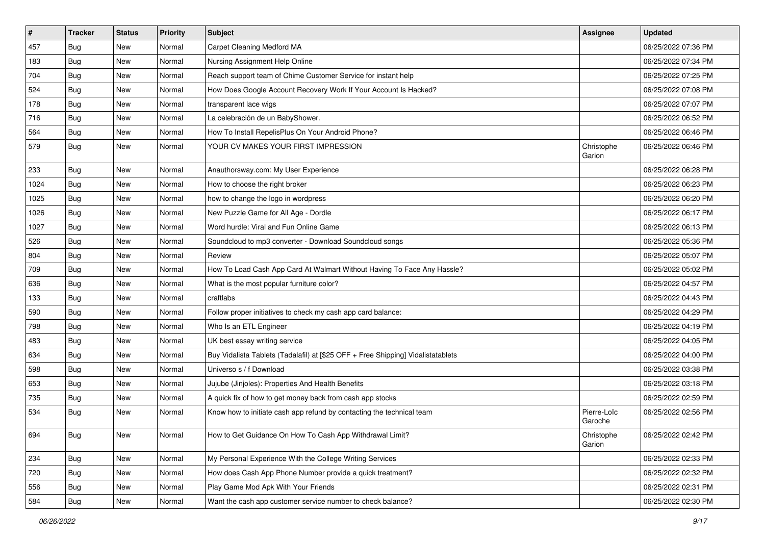| $\vert$ # | <b>Tracker</b> | <b>Status</b> | <b>Priority</b> | <b>Subject</b>                                                                   | Assignee               | <b>Updated</b>      |
|-----------|----------------|---------------|-----------------|----------------------------------------------------------------------------------|------------------------|---------------------|
| 457       | <b>Bug</b>     | New           | Normal          | Carpet Cleaning Medford MA                                                       |                        | 06/25/2022 07:36 PM |
| 183       | <b>Bug</b>     | <b>New</b>    | Normal          | Nursing Assignment Help Online                                                   |                        | 06/25/2022 07:34 PM |
| 704       | Bug            | New           | Normal          | Reach support team of Chime Customer Service for instant help                    |                        | 06/25/2022 07:25 PM |
| 524       | <b>Bug</b>     | <b>New</b>    | Normal          | How Does Google Account Recovery Work If Your Account Is Hacked?                 |                        | 06/25/2022 07:08 PM |
| 178       | Bug            | New           | Normal          | transparent lace wigs                                                            |                        | 06/25/2022 07:07 PM |
| 716       | <b>Bug</b>     | New           | Normal          | La celebración de un BabyShower.                                                 |                        | 06/25/2022 06:52 PM |
| 564       | <b>Bug</b>     | New           | Normal          | How To Install RepelisPlus On Your Android Phone?                                |                        | 06/25/2022 06:46 PM |
| 579       | <b>Bug</b>     | New           | Normal          | YOUR CV MAKES YOUR FIRST IMPRESSION                                              | Christophe<br>Garion   | 06/25/2022 06:46 PM |
| 233       | <b>Bug</b>     | <b>New</b>    | Normal          | Anauthorsway.com: My User Experience                                             |                        | 06/25/2022 06:28 PM |
| 1024      | Bug            | New           | Normal          | How to choose the right broker                                                   |                        | 06/25/2022 06:23 PM |
| 1025      | <b>Bug</b>     | <b>New</b>    | Normal          | how to change the logo in wordpress                                              |                        | 06/25/2022 06:20 PM |
| 1026      | Bug            | New           | Normal          | New Puzzle Game for All Age - Dordle                                             |                        | 06/25/2022 06:17 PM |
| 1027      | Bug            | New           | Normal          | Word hurdle: Viral and Fun Online Game                                           |                        | 06/25/2022 06:13 PM |
| 526       | Bug            | <b>New</b>    | Normal          | Soundcloud to mp3 converter - Download Soundcloud songs                          |                        | 06/25/2022 05:36 PM |
| 804       | <b>Bug</b>     | New           | Normal          | Review                                                                           |                        | 06/25/2022 05:07 PM |
| 709       | <b>Bug</b>     | New           | Normal          | How To Load Cash App Card At Walmart Without Having To Face Any Hassle?          |                        | 06/25/2022 05:02 PM |
| 636       | Bug            | New           | Normal          | What is the most popular furniture color?                                        |                        | 06/25/2022 04:57 PM |
| 133       | <b>Bug</b>     | New           | Normal          | craftlabs                                                                        |                        | 06/25/2022 04:43 PM |
| 590       | Bug            | New           | Normal          | Follow proper initiatives to check my cash app card balance:                     |                        | 06/25/2022 04:29 PM |
| 798       | Bug            | <b>New</b>    | Normal          | Who Is an ETL Engineer                                                           |                        | 06/25/2022 04:19 PM |
| 483       | Bug            | New           | Normal          | UK best essay writing service                                                    |                        | 06/25/2022 04:05 PM |
| 634       | <b>Bug</b>     | New           | Normal          | Buy Vidalista Tablets (Tadalafil) at [\$25 OFF + Free Shipping] Vidalistatablets |                        | 06/25/2022 04:00 PM |
| 598       | <b>Bug</b>     | New           | Normal          | Universo s / f Download                                                          |                        | 06/25/2022 03:38 PM |
| 653       | <b>Bug</b>     | New           | Normal          | Jujube (Jinjoles): Properties And Health Benefits                                |                        | 06/25/2022 03:18 PM |
| 735       | Bug            | New           | Normal          | A quick fix of how to get money back from cash app stocks                        |                        | 06/25/2022 02:59 PM |
| 534       | <b>Bug</b>     | New           | Normal          | Know how to initiate cash app refund by contacting the technical team            | Pierre-Loïc<br>Garoche | 06/25/2022 02:56 PM |
| 694       | <b>Bug</b>     | New           | Normal          | How to Get Guidance On How To Cash App Withdrawal Limit?                         | Christophe<br>Garion   | 06/25/2022 02:42 PM |
| 234       | Bug            | New           | Normal          | My Personal Experience With the College Writing Services                         |                        | 06/25/2022 02:33 PM |
| 720       | <b>Bug</b>     | New           | Normal          | How does Cash App Phone Number provide a quick treatment?                        |                        | 06/25/2022 02:32 PM |
| 556       | <b>Bug</b>     | New           | Normal          | Play Game Mod Apk With Your Friends                                              |                        | 06/25/2022 02:31 PM |
| 584       | <b>Bug</b>     | New           | Normal          | Want the cash app customer service number to check balance?                      |                        | 06/25/2022 02:30 PM |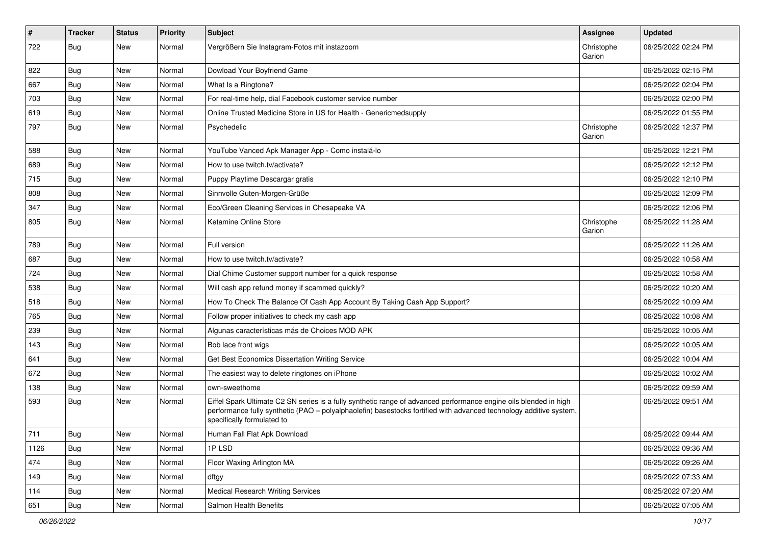| $\sharp$ | <b>Tracker</b> | <b>Status</b> | <b>Priority</b> | <b>Subject</b>                                                                                                                                                                                                                                                        | <b>Assignee</b>      | <b>Updated</b>      |
|----------|----------------|---------------|-----------------|-----------------------------------------------------------------------------------------------------------------------------------------------------------------------------------------------------------------------------------------------------------------------|----------------------|---------------------|
| 722      | <b>Bug</b>     | New           | Normal          | Vergrößern Sie Instagram-Fotos mit instazoom                                                                                                                                                                                                                          | Christophe<br>Garion | 06/25/2022 02:24 PM |
| 822      | Bug            | New           | Normal          | Dowload Your Boyfriend Game                                                                                                                                                                                                                                           |                      | 06/25/2022 02:15 PM |
| 667      | Bug            | New           | Normal          | What Is a Ringtone?                                                                                                                                                                                                                                                   |                      | 06/25/2022 02:04 PM |
| 703      | Bug            | New           | Normal          | For real-time help, dial Facebook customer service number                                                                                                                                                                                                             |                      | 06/25/2022 02:00 PM |
| 619      | <b>Bug</b>     | New           | Normal          | Online Trusted Medicine Store in US for Health - Genericmedsupply                                                                                                                                                                                                     |                      | 06/25/2022 01:55 PM |
| 797      | <b>Bug</b>     | New           | Normal          | Psychedelic                                                                                                                                                                                                                                                           | Christophe<br>Garion | 06/25/2022 12:37 PM |
| 588      | Bug            | New           | Normal          | YouTube Vanced Apk Manager App - Como instalá-lo                                                                                                                                                                                                                      |                      | 06/25/2022 12:21 PM |
| 689      | <b>Bug</b>     | New           | Normal          | How to use twitch.tv/activate?                                                                                                                                                                                                                                        |                      | 06/25/2022 12:12 PM |
| 715      | <b>Bug</b>     | New           | Normal          | Puppy Playtime Descargar gratis                                                                                                                                                                                                                                       |                      | 06/25/2022 12:10 PM |
| 808      | Bug            | New           | Normal          | Sinnvolle Guten-Morgen-Grüße                                                                                                                                                                                                                                          |                      | 06/25/2022 12:09 PM |
| 347      | Bug            | New           | Normal          | Eco/Green Cleaning Services in Chesapeake VA                                                                                                                                                                                                                          |                      | 06/25/2022 12:06 PM |
| 805      | <b>Bug</b>     | New           | Normal          | Ketamine Online Store                                                                                                                                                                                                                                                 | Christophe<br>Garion | 06/25/2022 11:28 AM |
| 789      | Bug            | New           | Normal          | Full version                                                                                                                                                                                                                                                          |                      | 06/25/2022 11:26 AM |
| 687      | <b>Bug</b>     | New           | Normal          | How to use twitch.tv/activate?                                                                                                                                                                                                                                        |                      | 06/25/2022 10:58 AM |
| 724      | Bug            | <b>New</b>    | Normal          | Dial Chime Customer support number for a quick response                                                                                                                                                                                                               |                      | 06/25/2022 10:58 AM |
| 538      | <b>Bug</b>     | New           | Normal          | Will cash app refund money if scammed quickly?                                                                                                                                                                                                                        |                      | 06/25/2022 10:20 AM |
| 518      | Bug            | New           | Normal          | How To Check The Balance Of Cash App Account By Taking Cash App Support?                                                                                                                                                                                              |                      | 06/25/2022 10:09 AM |
| 765      | Bug            | New           | Normal          | Follow proper initiatives to check my cash app                                                                                                                                                                                                                        |                      | 06/25/2022 10:08 AM |
| 239      | <b>Bug</b>     | New           | Normal          | Algunas características más de Choices MOD APK                                                                                                                                                                                                                        |                      | 06/25/2022 10:05 AM |
| 143      | Bug            | <b>New</b>    | Normal          | Bob lace front wigs                                                                                                                                                                                                                                                   |                      | 06/25/2022 10:05 AM |
| 641      | <b>Bug</b>     | New           | Normal          | Get Best Economics Dissertation Writing Service                                                                                                                                                                                                                       |                      | 06/25/2022 10:04 AM |
| 672      | Bug            | New           | Normal          | The easiest way to delete ringtones on iPhone                                                                                                                                                                                                                         |                      | 06/25/2022 10:02 AM |
| 138      | <b>Bug</b>     | New           | Normal          | own-sweethome                                                                                                                                                                                                                                                         |                      | 06/25/2022 09:59 AM |
| 593      | <b>Bug</b>     | New           | Normal          | Eiffel Spark Ultimate C2 SN series is a fully synthetic range of advanced performance engine oils blended in high<br>performance fully synthetic (PAO - polyalphaolefin) basestocks fortified with advanced technology additive system,<br>specifically formulated to |                      | 06/25/2022 09:51 AM |
| 711      | <b>Bug</b>     | New           | Normal          | Human Fall Flat Apk Download                                                                                                                                                                                                                                          |                      | 06/25/2022 09:44 AM |
| 1126     | Bug            | <b>New</b>    | Normal          | 1PLSD                                                                                                                                                                                                                                                                 |                      | 06/25/2022 09:36 AM |
| 474      | Bug            | New           | Normal          | Floor Waxing Arlington MA                                                                                                                                                                                                                                             |                      | 06/25/2022 09:26 AM |
| 149      | <b>Bug</b>     | New           | Normal          | dftgy                                                                                                                                                                                                                                                                 |                      | 06/25/2022 07:33 AM |
| 114      | Bug            | New           | Normal          | Medical Research Writing Services                                                                                                                                                                                                                                     |                      | 06/25/2022 07:20 AM |
| 651      | Bug            | New           | Normal          | Salmon Health Benefits                                                                                                                                                                                                                                                |                      | 06/25/2022 07:05 AM |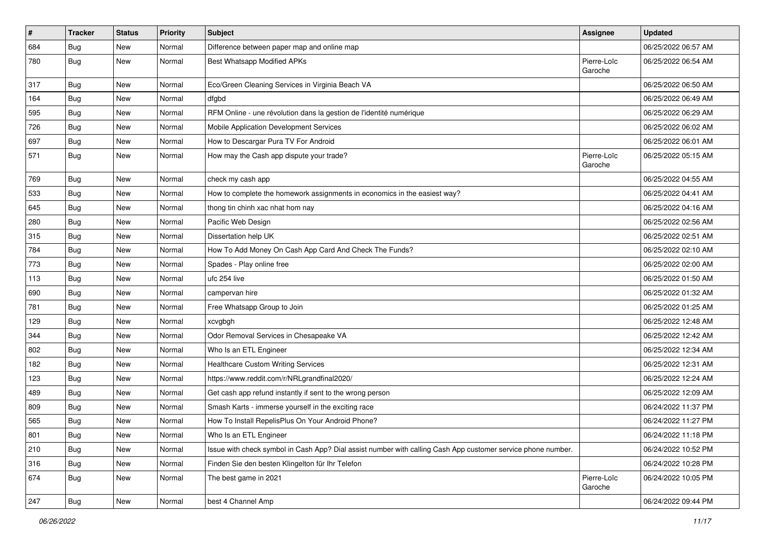| $\vert$ # | <b>Tracker</b> | <b>Status</b> | <b>Priority</b> | <b>Subject</b>                                                                                               | <b>Assignee</b>        | <b>Updated</b>      |
|-----------|----------------|---------------|-----------------|--------------------------------------------------------------------------------------------------------------|------------------------|---------------------|
| 684       | <b>Bug</b>     | New           | Normal          | Difference between paper map and online map                                                                  |                        | 06/25/2022 06:57 AM |
| 780       | <b>Bug</b>     | New           | Normal          | <b>Best Whatsapp Modified APKs</b>                                                                           | Pierre-Loïc<br>Garoche | 06/25/2022 06:54 AM |
| 317       | Bug            | New           | Normal          | Eco/Green Cleaning Services in Virginia Beach VA                                                             |                        | 06/25/2022 06:50 AM |
| 164       | <b>Bug</b>     | New           | Normal          | dfgbd                                                                                                        |                        | 06/25/2022 06:49 AM |
| 595       | Bug            | New           | Normal          | RFM Online - une révolution dans la gestion de l'identité numérique                                          |                        | 06/25/2022 06:29 AM |
| 726       | Bug            | New           | Normal          | Mobile Application Development Services                                                                      |                        | 06/25/2022 06:02 AM |
| 697       | Bug            | New           | Normal          | How to Descargar Pura TV For Android                                                                         |                        | 06/25/2022 06:01 AM |
| 571       | Bug            | New           | Normal          | How may the Cash app dispute your trade?                                                                     | Pierre-Loïc<br>Garoche | 06/25/2022 05:15 AM |
| 769       | <b>Bug</b>     | New           | Normal          | check my cash app                                                                                            |                        | 06/25/2022 04:55 AM |
| 533       | <b>Bug</b>     | <b>New</b>    | Normal          | How to complete the homework assignments in economics in the easiest way?                                    |                        | 06/25/2022 04:41 AM |
| 645       | <b>Bug</b>     | New           | Normal          | thong tin chinh xac nhat hom nay                                                                             |                        | 06/25/2022 04:16 AM |
| 280       | Bug            | New           | Normal          | Pacific Web Design                                                                                           |                        | 06/25/2022 02:56 AM |
| 315       | Bug            | New           | Normal          | Dissertation help UK                                                                                         |                        | 06/25/2022 02:51 AM |
| 784       | Bug            | New           | Normal          | How To Add Money On Cash App Card And Check The Funds?                                                       |                        | 06/25/2022 02:10 AM |
| 773       | <b>Bug</b>     | New           | Normal          | Spades - Play online free                                                                                    |                        | 06/25/2022 02:00 AM |
| 113       | <b>Bug</b>     | New           | Normal          | ufc 254 live                                                                                                 |                        | 06/25/2022 01:50 AM |
| 690       | <b>Bug</b>     | New           | Normal          | campervan hire                                                                                               |                        | 06/25/2022 01:32 AM |
| 781       | <b>Bug</b>     | New           | Normal          | Free Whatsapp Group to Join                                                                                  |                        | 06/25/2022 01:25 AM |
| 129       | Bug            | New           | Normal          | xcvgbgh                                                                                                      |                        | 06/25/2022 12:48 AM |
| 344       | Bug            | New           | Normal          | Odor Removal Services in Chesapeake VA                                                                       |                        | 06/25/2022 12:42 AM |
| 802       | Bug            | <b>New</b>    | Normal          | Who Is an ETL Engineer                                                                                       |                        | 06/25/2022 12:34 AM |
| 182       | Bug            | New           | Normal          | <b>Healthcare Custom Writing Services</b>                                                                    |                        | 06/25/2022 12:31 AM |
| 123       | <b>Bug</b>     | New           | Normal          | https://www.reddit.com/r/NRLgrandfinal2020/                                                                  |                        | 06/25/2022 12:24 AM |
| 489       | Bug            | New           | Normal          | Get cash app refund instantly if sent to the wrong person                                                    |                        | 06/25/2022 12:09 AM |
| 809       | <b>Bug</b>     | New           | Normal          | Smash Karts - immerse yourself in the exciting race                                                          |                        | 06/24/2022 11:37 PM |
| 565       | <b>Bug</b>     | New           | Normal          | How To Install RepelisPlus On Your Android Phone?                                                            |                        | 06/24/2022 11:27 PM |
| 801       | Bug            | New           | Normal          | Who Is an ETL Engineer                                                                                       |                        | 06/24/2022 11:18 PM |
| 210       | Bug            | New           | Normal          | Issue with check symbol in Cash App? Dial assist number with calling Cash App customer service phone number. |                        | 06/24/2022 10:52 PM |
| 316       | Bug            | New           | Normal          | Finden Sie den besten Klingelton für Ihr Telefon                                                             |                        | 06/24/2022 10:28 PM |
| 674       | <b>Bug</b>     | New           | Normal          | The best game in 2021                                                                                        | Pierre-Loïc<br>Garoche | 06/24/2022 10:05 PM |
| 247       | <b>Bug</b>     | New           | Normal          | best 4 Channel Amp                                                                                           |                        | 06/24/2022 09:44 PM |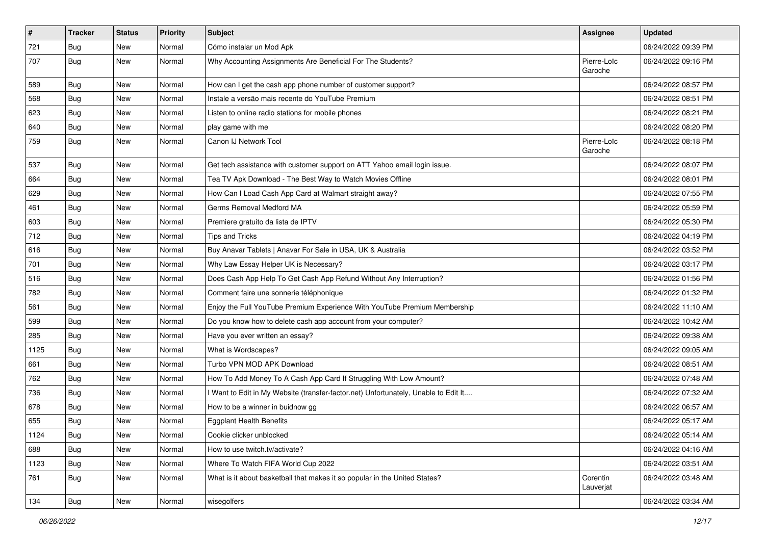| $\vert$ # | <b>Tracker</b> | <b>Status</b> | <b>Priority</b> | Subject                                                                             | <b>Assignee</b>        | <b>Updated</b>      |
|-----------|----------------|---------------|-----------------|-------------------------------------------------------------------------------------|------------------------|---------------------|
| 721       | Bug            | New           | Normal          | Cómo instalar un Mod Apk                                                            |                        | 06/24/2022 09:39 PM |
| 707       | <b>Bug</b>     | New           | Normal          | Why Accounting Assignments Are Beneficial For The Students?                         | Pierre-Loïc<br>Garoche | 06/24/2022 09:16 PM |
| 589       | <b>Bug</b>     | <b>New</b>    | Normal          | How can I get the cash app phone number of customer support?                        |                        | 06/24/2022 08:57 PM |
| 568       | <b>Bug</b>     | New           | Normal          | Instale a versão mais recente do YouTube Premium                                    |                        | 06/24/2022 08:51 PM |
| 623       | <b>Bug</b>     | <b>New</b>    | Normal          | Listen to online radio stations for mobile phones                                   |                        | 06/24/2022 08:21 PM |
| 640       | Bug            | New           | Normal          | play game with me                                                                   |                        | 06/24/2022 08:20 PM |
| 759       | Bug            | New           | Normal          | Canon IJ Network Tool                                                               | Pierre-Loïc<br>Garoche | 06/24/2022 08:18 PM |
| 537       | Bug            | <b>New</b>    | Normal          | Get tech assistance with customer support on ATT Yahoo email login issue.           |                        | 06/24/2022 08:07 PM |
| 664       | Bug            | New           | Normal          | Tea TV Apk Download - The Best Way to Watch Movies Offline                          |                        | 06/24/2022 08:01 PM |
| 629       | <b>Bug</b>     | New           | Normal          | How Can I Load Cash App Card at Walmart straight away?                              |                        | 06/24/2022 07:55 PM |
| 461       | Bug            | New           | Normal          | Germs Removal Medford MA                                                            |                        | 06/24/2022 05:59 PM |
| 603       | Bug            | New           | Normal          | Premiere gratuito da lista de IPTV                                                  |                        | 06/24/2022 05:30 PM |
| 712       | Bug            | New           | Normal          | <b>Tips and Tricks</b>                                                              |                        | 06/24/2022 04:19 PM |
| 616       | <b>Bug</b>     | New           | Normal          | Buy Anavar Tablets   Anavar For Sale in USA, UK & Australia                         |                        | 06/24/2022 03:52 PM |
| 701       | <b>Bug</b>     | New           | Normal          | Why Law Essay Helper UK is Necessary?                                               |                        | 06/24/2022 03:17 PM |
| 516       | <b>Bug</b>     | New           | Normal          | Does Cash App Help To Get Cash App Refund Without Any Interruption?                 |                        | 06/24/2022 01:56 PM |
| 782       | Bug            | <b>New</b>    | Normal          | Comment faire une sonnerie téléphonique                                             |                        | 06/24/2022 01:32 PM |
| 561       | Bug            | New           | Normal          | Enjoy the Full YouTube Premium Experience With YouTube Premium Membership           |                        | 06/24/2022 11:10 AM |
| 599       | Bug            | <b>New</b>    | Normal          | Do you know how to delete cash app account from your computer?                      |                        | 06/24/2022 10:42 AM |
| 285       | <b>Bug</b>     | New           | Normal          | Have you ever written an essay?                                                     |                        | 06/24/2022 09:38 AM |
| 1125      | <b>Bug</b>     | New           | Normal          | What is Wordscapes?                                                                 |                        | 06/24/2022 09:05 AM |
| 661       | <b>Bug</b>     | New           | Normal          | Turbo VPN MOD APK Download                                                          |                        | 06/24/2022 08:51 AM |
| 762       | <b>Bug</b>     | New           | Normal          | How To Add Money To A Cash App Card If Struggling With Low Amount?                  |                        | 06/24/2022 07:48 AM |
| 736       | Bug            | New           | Normal          | I Want to Edit in My Website (transfer-factor.net) Unfortunately, Unable to Edit It |                        | 06/24/2022 07:32 AM |
| 678       | <b>Bug</b>     | New           | Normal          | How to be a winner in buidnow gg                                                    |                        | 06/24/2022 06:57 AM |
| 655       | <b>Bug</b>     | <b>New</b>    | Normal          | <b>Eggplant Health Benefits</b>                                                     |                        | 06/24/2022 05:17 AM |
| 1124      | <b>Bug</b>     | New           | Normal          | Cookie clicker unblocked                                                            |                        | 06/24/2022 05:14 AM |
| 688       | <b>Bug</b>     | New           | Normal          | How to use twitch.tv/activate?                                                      |                        | 06/24/2022 04:16 AM |
| 1123      | <b>Bug</b>     | New           | Normal          | Where To Watch FIFA World Cup 2022                                                  |                        | 06/24/2022 03:51 AM |
| 761       | Bug            | New           | Normal          | What is it about basketball that makes it so popular in the United States?          | Corentin<br>Lauverjat  | 06/24/2022 03:48 AM |
| 134       | <b>Bug</b>     | New           | Normal          | wisegolfers                                                                         |                        | 06/24/2022 03:34 AM |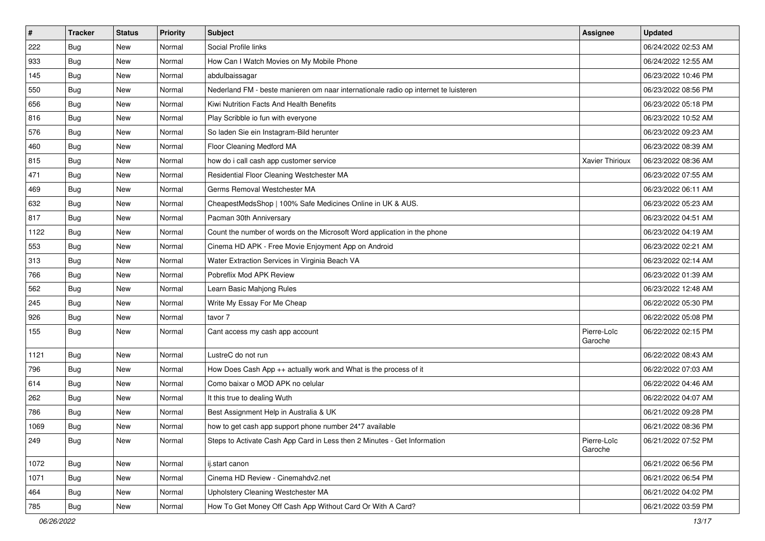| $\vert$ # | <b>Tracker</b> | <b>Status</b> | <b>Priority</b> | Subject                                                                             | <b>Assignee</b>        | <b>Updated</b>      |
|-----------|----------------|---------------|-----------------|-------------------------------------------------------------------------------------|------------------------|---------------------|
| 222       | <b>Bug</b>     | New           | Normal          | Social Profile links                                                                |                        | 06/24/2022 02:53 AM |
| 933       | Bug            | <b>New</b>    | Normal          | How Can I Watch Movies on My Mobile Phone                                           |                        | 06/24/2022 12:55 AM |
| 145       | Bug            | New           | Normal          | abdulbaissagar                                                                      |                        | 06/23/2022 10:46 PM |
| 550       | <b>Bug</b>     | New           | Normal          | Nederland FM - beste manieren om naar internationale radio op internet te luisteren |                        | 06/23/2022 08:56 PM |
| 656       | Bug            | <b>New</b>    | Normal          | Kiwi Nutrition Facts And Health Benefits                                            |                        | 06/23/2022 05:18 PM |
| 816       | <b>Bug</b>     | New           | Normal          | Play Scribble io fun with everyone                                                  |                        | 06/23/2022 10:52 AM |
| 576       | Bug            | <b>New</b>    | Normal          | So laden Sie ein Instagram-Bild herunter                                            |                        | 06/23/2022 09:23 AM |
| 460       | Bug            | New           | Normal          | Floor Cleaning Medford MA                                                           |                        | 06/23/2022 08:39 AM |
| 815       | Bug            | New           | Normal          | how do i call cash app customer service                                             | Xavier Thirioux        | 06/23/2022 08:36 AM |
| 471       | <b>Bug</b>     | <b>New</b>    | Normal          | Residential Floor Cleaning Westchester MA                                           |                        | 06/23/2022 07:55 AM |
| 469       | <b>Bug</b>     | New           | Normal          | Germs Removal Westchester MA                                                        |                        | 06/23/2022 06:11 AM |
| 632       | <b>Bug</b>     | New           | Normal          | CheapestMedsShop   100% Safe Medicines Online in UK & AUS.                          |                        | 06/23/2022 05:23 AM |
| 817       | Bug            | <b>New</b>    | Normal          | Pacman 30th Anniversary                                                             |                        | 06/23/2022 04:51 AM |
| 1122      | Bug            | New           | Normal          | Count the number of words on the Microsoft Word application in the phone            |                        | 06/23/2022 04:19 AM |
| 553       | Bug            | <b>New</b>    | Normal          | Cinema HD APK - Free Movie Enjoyment App on Android                                 |                        | 06/23/2022 02:21 AM |
| 313       | Bug            | New           | Normal          | Water Extraction Services in Virginia Beach VA                                      |                        | 06/23/2022 02:14 AM |
| 766       | <b>Bug</b>     | New           | Normal          | Pobreflix Mod APK Review                                                            |                        | 06/23/2022 01:39 AM |
| 562       | Bug            | <b>New</b>    | Normal          | Learn Basic Mahjong Rules                                                           |                        | 06/23/2022 12:48 AM |
| 245       | Bug            | New           | Normal          | Write My Essay For Me Cheap                                                         |                        | 06/22/2022 05:30 PM |
| 926       | Bug            | <b>New</b>    | Normal          | tavor 7                                                                             |                        | 06/22/2022 05:08 PM |
| 155       | Bug            | New           | Normal          | Cant access my cash app account                                                     | Pierre-Loïc<br>Garoche | 06/22/2022 02:15 PM |
| 1121      | Bug            | <b>New</b>    | Normal          | LustreC do not run                                                                  |                        | 06/22/2022 08:43 AM |
| 796       | <b>Bug</b>     | New           | Normal          | How Does Cash App ++ actually work and What is the process of it                    |                        | 06/22/2022 07:03 AM |
| 614       | <b>Bug</b>     | New           | Normal          | Como baixar o MOD APK no celular                                                    |                        | 06/22/2022 04:46 AM |
| 262       | Bug            | <b>New</b>    | Normal          | It this true to dealing Wuth                                                        |                        | 06/22/2022 04:07 AM |
| 786       | <b>Bug</b>     | New           | Normal          | Best Assignment Help in Australia & UK                                              |                        | 06/21/2022 09:28 PM |
| 1069      | <b>Bug</b>     | New           | Normal          | how to get cash app support phone number 24*7 available                             |                        | 06/21/2022 08:36 PM |
| 249       | <b>Bug</b>     | New           | Normal          | Steps to Activate Cash App Card in Less then 2 Minutes - Get Information            | Pierre-Loïc<br>Garoche | 06/21/2022 07:52 PM |
| 1072      | <b>Bug</b>     | <b>New</b>    | Normal          | ij.start canon                                                                      |                        | 06/21/2022 06:56 PM |
| 1071      | <b>Bug</b>     | New           | Normal          | Cinema HD Review - Cinemahdv2.net                                                   |                        | 06/21/2022 06:54 PM |
| 464       | <b>Bug</b>     | New           | Normal          | Upholstery Cleaning Westchester MA                                                  |                        | 06/21/2022 04:02 PM |
| 785       | <b>Bug</b>     | New           | Normal          | How To Get Money Off Cash App Without Card Or With A Card?                          |                        | 06/21/2022 03:59 PM |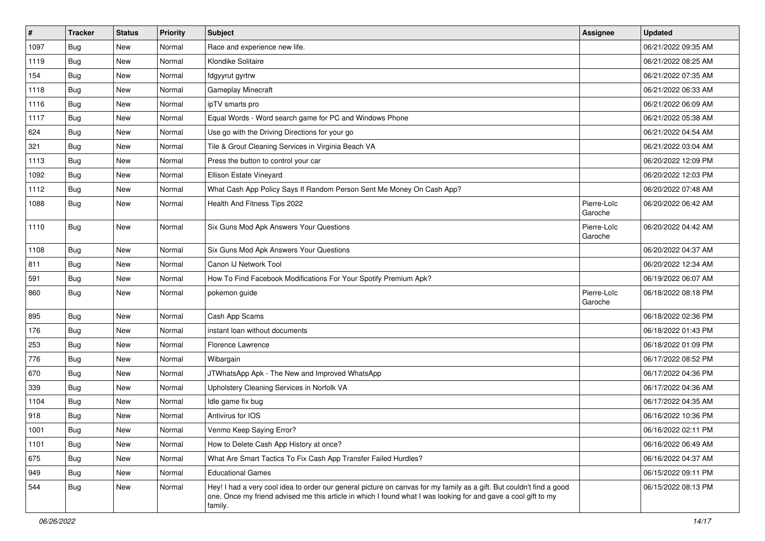| $\vert$ # | <b>Tracker</b> | <b>Status</b> | <b>Priority</b> | <b>Subject</b>                                                                                                                                                                                                                                    | Assignee               | <b>Updated</b>      |
|-----------|----------------|---------------|-----------------|---------------------------------------------------------------------------------------------------------------------------------------------------------------------------------------------------------------------------------------------------|------------------------|---------------------|
| 1097      | <b>Bug</b>     | New           | Normal          | Race and experience new life.                                                                                                                                                                                                                     |                        | 06/21/2022 09:35 AM |
| 1119      | <b>Bug</b>     | <b>New</b>    | Normal          | Klondike Solitaire                                                                                                                                                                                                                                |                        | 06/21/2022 08:25 AM |
| 154       | Bug            | New           | Normal          | fdgyyrut gyrtrw                                                                                                                                                                                                                                   |                        | 06/21/2022 07:35 AM |
| 1118      | <b>Bug</b>     | <b>New</b>    | Normal          | Gameplay Minecraft                                                                                                                                                                                                                                |                        | 06/21/2022 06:33 AM |
| 1116      | Bug            | New           | Normal          | ipTV smarts pro                                                                                                                                                                                                                                   |                        | 06/21/2022 06:09 AM |
| 1117      | <b>Bug</b>     | New           | Normal          | Equal Words - Word search game for PC and Windows Phone                                                                                                                                                                                           |                        | 06/21/2022 05:38 AM |
| 624       | <b>Bug</b>     | New           | Normal          | Use go with the Driving Directions for your go                                                                                                                                                                                                    |                        | 06/21/2022 04:54 AM |
| 321       | <b>Bug</b>     | New           | Normal          | Tile & Grout Cleaning Services in Virginia Beach VA                                                                                                                                                                                               |                        | 06/21/2022 03:04 AM |
| 1113      | <b>Bug</b>     | New           | Normal          | Press the button to control your car                                                                                                                                                                                                              |                        | 06/20/2022 12:09 PM |
| 1092      | <b>Bug</b>     | New           | Normal          | Ellison Estate Vineyard                                                                                                                                                                                                                           |                        | 06/20/2022 12:03 PM |
| 1112      | Bug            | New           | Normal          | What Cash App Policy Says If Random Person Sent Me Money On Cash App?                                                                                                                                                                             |                        | 06/20/2022 07:48 AM |
| 1088      | <b>Bug</b>     | New           | Normal          | Health And Fitness Tips 2022                                                                                                                                                                                                                      | Pierre-Loïc<br>Garoche | 06/20/2022 06:42 AM |
| 1110      | Bug            | New           | Normal          | Six Guns Mod Apk Answers Your Questions                                                                                                                                                                                                           | Pierre-Loïc<br>Garoche | 06/20/2022 04:42 AM |
| 1108      | Bug            | New           | Normal          | Six Guns Mod Apk Answers Your Questions                                                                                                                                                                                                           |                        | 06/20/2022 04:37 AM |
| 811       | <b>Bug</b>     | New           | Normal          | Canon IJ Network Tool                                                                                                                                                                                                                             |                        | 06/20/2022 12:34 AM |
| 591       | <b>Bug</b>     | New           | Normal          | How To Find Facebook Modifications For Your Spotify Premium Apk?                                                                                                                                                                                  |                        | 06/19/2022 06:07 AM |
| 860       | <b>Bug</b>     | New           | Normal          | pokemon guide                                                                                                                                                                                                                                     | Pierre-Loïc<br>Garoche | 06/18/2022 08:18 PM |
| 895       | Bug            | New           | Normal          | Cash App Scams                                                                                                                                                                                                                                    |                        | 06/18/2022 02:36 PM |
| 176       | Bug            | New           | Normal          | instant loan without documents                                                                                                                                                                                                                    |                        | 06/18/2022 01:43 PM |
| 253       | <b>Bug</b>     | New           | Normal          | Florence Lawrence                                                                                                                                                                                                                                 |                        | 06/18/2022 01:09 PM |
| 776       | <b>Bug</b>     | New           | Normal          | Wibargain                                                                                                                                                                                                                                         |                        | 06/17/2022 08:52 PM |
| 670       | Bug            | New           | Normal          | JTWhatsApp Apk - The New and Improved WhatsApp                                                                                                                                                                                                    |                        | 06/17/2022 04:36 PM |
| 339       | Bug            | New           | Normal          | Upholstery Cleaning Services in Norfolk VA                                                                                                                                                                                                        |                        | 06/17/2022 04:36 AM |
| 1104      | <b>Bug</b>     | New           | Normal          | Idle game fix bug                                                                                                                                                                                                                                 |                        | 06/17/2022 04:35 AM |
| 918       | <b>Bug</b>     | New           | Normal          | Antivirus for IOS                                                                                                                                                                                                                                 |                        | 06/16/2022 10:36 PM |
| 1001      | <b>Bug</b>     | New           | Normal          | Venmo Keep Saying Error?                                                                                                                                                                                                                          |                        | 06/16/2022 02:11 PM |
| 1101      | <b>Bug</b>     | New           | Normal          | How to Delete Cash App History at once?                                                                                                                                                                                                           |                        | 06/16/2022 06:49 AM |
| 675       | <b>Bug</b>     | New           | Normal          | What Are Smart Tactics To Fix Cash App Transfer Failed Hurdles?                                                                                                                                                                                   |                        | 06/16/2022 04:37 AM |
| 949       | <b>Bug</b>     | New           | Normal          | <b>Educational Games</b>                                                                                                                                                                                                                          |                        | 06/15/2022 09:11 PM |
| 544       | <b>Bug</b>     | New           | Normal          | Hey! I had a very cool idea to order our general picture on canvas for my family as a gift. But couldn't find a good<br>one. Once my friend advised me this article in which I found what I was looking for and gave a cool gift to my<br>family. |                        | 06/15/2022 08:13 PM |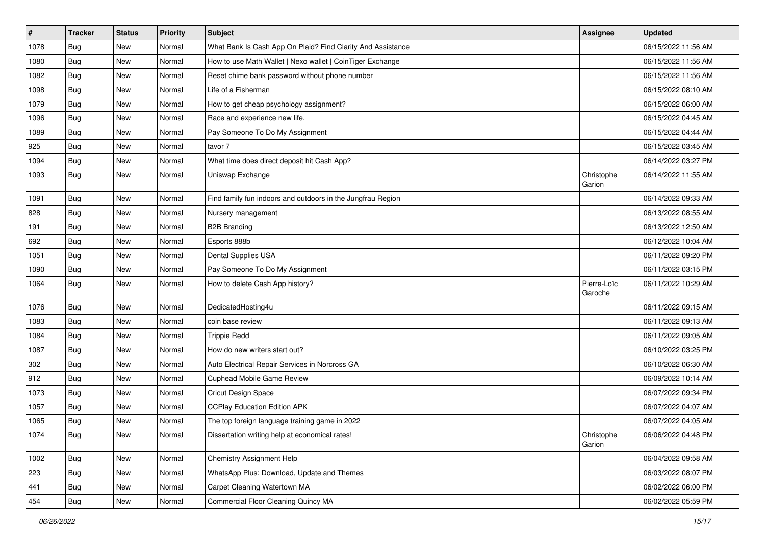| $\vert$ # | <b>Tracker</b> | <b>Status</b> | <b>Priority</b> | <b>Subject</b>                                              | <b>Assignee</b>        | <b>Updated</b>      |
|-----------|----------------|---------------|-----------------|-------------------------------------------------------------|------------------------|---------------------|
| 1078      | Bug            | New           | Normal          | What Bank Is Cash App On Plaid? Find Clarity And Assistance |                        | 06/15/2022 11:56 AM |
| 1080      | <b>Bug</b>     | <b>New</b>    | Normal          | How to use Math Wallet   Nexo wallet   CoinTiger Exchange   |                        | 06/15/2022 11:56 AM |
| 1082      | Bug            | New           | Normal          | Reset chime bank password without phone number              |                        | 06/15/2022 11:56 AM |
| 1098      | <b>Bug</b>     | <b>New</b>    | Normal          | Life of a Fisherman                                         |                        | 06/15/2022 08:10 AM |
| 1079      | <b>Bug</b>     | New           | Normal          | How to get cheap psychology assignment?                     |                        | 06/15/2022 06:00 AM |
| 1096      | Bug            | <b>New</b>    | Normal          | Race and experience new life.                               |                        | 06/15/2022 04:45 AM |
| 1089      | Bug            | <b>New</b>    | Normal          | Pay Someone To Do My Assignment                             |                        | 06/15/2022 04:44 AM |
| 925       | <b>Bug</b>     | New           | Normal          | tavor 7                                                     |                        | 06/15/2022 03:45 AM |
| 1094      | Bug            | New           | Normal          | What time does direct deposit hit Cash App?                 |                        | 06/14/2022 03:27 PM |
| 1093      | <b>Bug</b>     | <b>New</b>    | Normal          | Uniswap Exchange                                            | Christophe<br>Garion   | 06/14/2022 11:55 AM |
| 1091      | Bug            | New           | Normal          | Find family fun indoors and outdoors in the Jungfrau Region |                        | 06/14/2022 09:33 AM |
| 828       | Bug            | New           | Normal          | Nursery management                                          |                        | 06/13/2022 08:55 AM |
| 191       | <b>Bug</b>     | New           | Normal          | <b>B2B Branding</b>                                         |                        | 06/13/2022 12:50 AM |
| 692       | <b>Bug</b>     | <b>New</b>    | Normal          | Esports 888b                                                |                        | 06/12/2022 10:04 AM |
| 1051      | <b>Bug</b>     | New           | Normal          | <b>Dental Supplies USA</b>                                  |                        | 06/11/2022 09:20 PM |
| 1090      | <b>Bug</b>     | <b>New</b>    | Normal          | Pay Someone To Do My Assignment                             |                        | 06/11/2022 03:15 PM |
| 1064      | <b>Bug</b>     | <b>New</b>    | Normal          | How to delete Cash App history?                             | Pierre-Loïc<br>Garoche | 06/11/2022 10:29 AM |
| 1076      | <b>Bug</b>     | New           | Normal          | DedicatedHosting4u                                          |                        | 06/11/2022 09:15 AM |
| 1083      | Bug            | New           | Normal          | coin base review                                            |                        | 06/11/2022 09:13 AM |
| 1084      | <b>Bug</b>     | New           | Normal          | <b>Trippie Redd</b>                                         |                        | 06/11/2022 09:05 AM |
| 1087      | <b>Bug</b>     | New           | Normal          | How do new writers start out?                               |                        | 06/10/2022 03:25 PM |
| 302       | <b>Bug</b>     | New           | Normal          | Auto Electrical Repair Services in Norcross GA              |                        | 06/10/2022 06:30 AM |
| 912       | <b>Bug</b>     | New           | Normal          | <b>Cuphead Mobile Game Review</b>                           |                        | 06/09/2022 10:14 AM |
| 1073      | Bug            | New           | Normal          | Cricut Design Space                                         |                        | 06/07/2022 09:34 PM |
| 1057      | <b>Bug</b>     | New           | Normal          | <b>CCPlay Education Edition APK</b>                         |                        | 06/07/2022 04:07 AM |
| 1065      | <b>Bug</b>     | New           | Normal          | The top foreign language training game in 2022              |                        | 06/07/2022 04:05 AM |
| 1074      | <b>Bug</b>     | New           | Normal          | Dissertation writing help at economical rates!              | Christophe<br>Garion   | 06/06/2022 04:48 PM |
| 1002      | <b>Bug</b>     | New           | Normal          | <b>Chemistry Assignment Help</b>                            |                        | 06/04/2022 09:58 AM |
| 223       | <b>Bug</b>     | New           | Normal          | WhatsApp Plus: Download, Update and Themes                  |                        | 06/03/2022 08:07 PM |
| 441       | <b>Bug</b>     | New           | Normal          | Carpet Cleaning Watertown MA                                |                        | 06/02/2022 06:00 PM |
| 454       | Bug            | New           | Normal          | Commercial Floor Cleaning Quincy MA                         |                        | 06/02/2022 05:59 PM |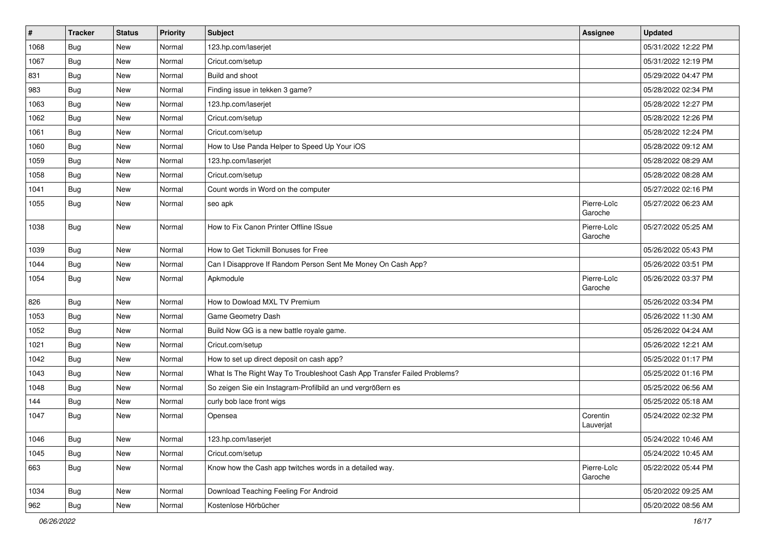| $\pmb{\#}$ | <b>Tracker</b> | <b>Status</b> | <b>Priority</b> | Subject                                                                  | <b>Assignee</b>        | <b>Updated</b>      |
|------------|----------------|---------------|-----------------|--------------------------------------------------------------------------|------------------------|---------------------|
| 1068       | <b>Bug</b>     | New           | Normal          | 123.hp.com/laserjet                                                      |                        | 05/31/2022 12:22 PM |
| 1067       | <b>Bug</b>     | <b>New</b>    | Normal          | Cricut.com/setup                                                         |                        | 05/31/2022 12:19 PM |
| 831        | Bug            | <b>New</b>    | Normal          | Build and shoot                                                          |                        | 05/29/2022 04:47 PM |
| 983        | <b>Bug</b>     | <b>New</b>    | Normal          | Finding issue in tekken 3 game?                                          |                        | 05/28/2022 02:34 PM |
| 1063       | <b>Bug</b>     | <b>New</b>    | Normal          | 123.hp.com/laserjet                                                      |                        | 05/28/2022 12:27 PM |
| 1062       | Bug            | New           | Normal          | Cricut.com/setup                                                         |                        | 05/28/2022 12:26 PM |
| 1061       | Bug            | <b>New</b>    | Normal          | Cricut.com/setup                                                         |                        | 05/28/2022 12:24 PM |
| 1060       | <b>Bug</b>     | <b>New</b>    | Normal          | How to Use Panda Helper to Speed Up Your iOS                             |                        | 05/28/2022 09:12 AM |
| 1059       | Bug            | <b>New</b>    | Normal          | 123.hp.com/laserjet                                                      |                        | 05/28/2022 08:29 AM |
| 1058       | Bug            | <b>New</b>    | Normal          | Cricut.com/setup                                                         |                        | 05/28/2022 08:28 AM |
| 1041       | <b>Bug</b>     | New           | Normal          | Count words in Word on the computer                                      |                        | 05/27/2022 02:16 PM |
| 1055       | Bug            | New           | Normal          | seo apk                                                                  | Pierre-Loïc<br>Garoche | 05/27/2022 06:23 AM |
| 1038       | Bug            | <b>New</b>    | Normal          | How to Fix Canon Printer Offline ISsue                                   | Pierre-Loïc<br>Garoche | 05/27/2022 05:25 AM |
| 1039       | <b>Bug</b>     | <b>New</b>    | Normal          | How to Get Tickmill Bonuses for Free                                     |                        | 05/26/2022 05:43 PM |
| 1044       | Bug            | <b>New</b>    | Normal          | Can I Disapprove If Random Person Sent Me Money On Cash App?             |                        | 05/26/2022 03:51 PM |
| 1054       | <b>Bug</b>     | New           | Normal          | Apkmodule                                                                | Pierre-Loïc<br>Garoche | 05/26/2022 03:37 PM |
| 826        | Bug            | <b>New</b>    | Normal          | How to Dowload MXL TV Premium                                            |                        | 05/26/2022 03:34 PM |
| 1053       | <b>Bug</b>     | <b>New</b>    | Normal          | Game Geometry Dash                                                       |                        | 05/26/2022 11:30 AM |
| 1052       | <b>Bug</b>     | New           | Normal          | Build Now GG is a new battle royale game.                                |                        | 05/26/2022 04:24 AM |
| 1021       | <b>Bug</b>     | <b>New</b>    | Normal          | Cricut.com/setup                                                         |                        | 05/26/2022 12:21 AM |
| 1042       | <b>Bug</b>     | <b>New</b>    | Normal          | How to set up direct deposit on cash app?                                |                        | 05/25/2022 01:17 PM |
| 1043       | <b>Bug</b>     | <b>New</b>    | Normal          | What Is The Right Way To Troubleshoot Cash App Transfer Failed Problems? |                        | 05/25/2022 01:16 PM |
| 1048       | Bug            | <b>New</b>    | Normal          | So zeigen Sie ein Instagram-Profilbild an und vergrößern es              |                        | 05/25/2022 06:56 AM |
| 144        | <b>Bug</b>     | New           | Normal          | curly bob lace front wigs                                                |                        | 05/25/2022 05:18 AM |
| 1047       | <b>Bug</b>     | New           | Normal          | Opensea                                                                  | Corentin<br>Lauverjat  | 05/24/2022 02:32 PM |
| 1046       | <b>Bug</b>     | New           | Normal          | 123.hp.com/laserjet                                                      |                        | 05/24/2022 10:46 AM |
| 1045       | Bug            | New           | Normal          | Cricut.com/setup                                                         |                        | 05/24/2022 10:45 AM |
| 663        | <b>Bug</b>     | New           | Normal          | Know how the Cash app twitches words in a detailed way.                  | Pierre-Loïc<br>Garoche | 05/22/2022 05:44 PM |
| 1034       | <b>Bug</b>     | New           | Normal          | Download Teaching Feeling For Android                                    |                        | 05/20/2022 09:25 AM |
| 962        | Bug            | New           | Normal          | Kostenlose Hörbücher                                                     |                        | 05/20/2022 08:56 AM |